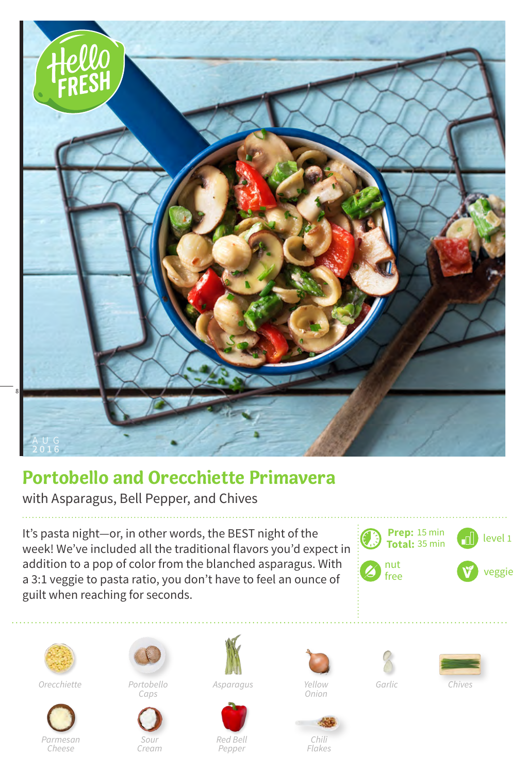

## **Portobello and Orecchiette Primavera**

with Asparagus, Bell Pepper, and Chives

It's pasta night—or, in other words, the BEST night of the week! We've included all the traditional flavors you'd expect in addition to a pop of color from the blanched asparagus. With a 3:1 veggie to pasta ratio, you don't have to feel an ounce of guilt when reaching for seconds.





*Portobello Orecchiette Asparagus Garlic* 







*Caps*

*Sour Cream*









*Onion*

*Red Bell Pepper*